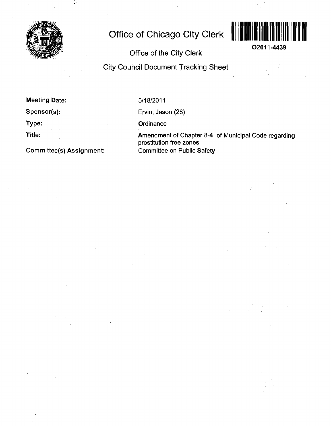

# **Office of Chicago City Clerk**



**O2011-4439** 

# **Office of the City Clerk**

**City Council Document Tracking Sheet** 

**Meeting Date:** 

**Sponsor(s):** 

**Type:** 

**Title:** 

**Committee(s) Assignment:** 

5/18/2011

Ervin, Jason (28)

**Ordinance** 

Amendment of Chapter 8-4 of Municipal Code regarding prostitution free zones Committee on Public Safety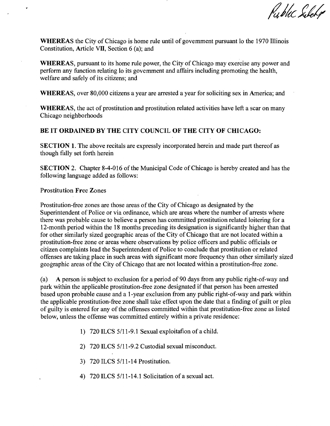Public Silely

WHEREAS the City of Chicago is home rule until of govemment pursuant lo the 1970 Illinois Constitution, Article VII, Section 6 (a); and

WHEREAS, pursuant to its home rule power, the City of Chicago may exercise any power and perform any function relating lo its govemment and affairs including promoting the health, welfare and safely of its citizens; and

WHEREAS, over 80,000 citizens a year are arrested a year for soliciting sex in America; and

WHEREAS, the act of prostitution and prostitution related activities have left a scar on many Chicago neighborhoods

# **BE IT ORDAINED BY THE CITY COUNCIL OF THE CITY OF CHICAGO:**

SECTION 1. The above recitals are expressly incorporated herein and made part thereof as though fiilly set forth herein

SECTION 2. Chapter 8-4-016 of the Municipal Code of Chicago is hereby created and has the following language added as follows:

#### **Prostitution Free Zones**

Prostitution-free zones are those areas of the City of Chicago as designated by the Superintendent of Police or via ordinance, which are areas where the number of arrests where there was probable cause to believe a person has committed prostitution related loitering for a 12-month period within the 18 months preceding its designation is significantly higher than that for other similarly sized geographic areas of the City of Chicago that are not located within a prostitution-firee zone or areas where observations by police officers and public officials or citizen complaints lead the Superintendent of Police to conclude that prostitution or related offenses are taking place in such areas with significant more frequency than other similarly sized geographic areas of the City of Chicago that are not located within a prostitution-free zone.

(a) A person is subject to exclusion for a period of 90 days from any public right-of-way and park within the applicable prostitution-free zone designated if that person has been arrested based upon probable cause and a 1-year exclusion from any public right-of-way and park within the applicable prostitution-free zone shall take effect upon the date that a finding of guilt or plea of guilty is entered for any of the offenses committed within that prostitution-free zone as listed below, unless the offense was committed entirely within a private residence:

- 1) 720 ILCS 5/11-9.1 Sexual exploitafion of a child.
- 2) 720 ILCS 5/11-9.2 Custodial sexual misconduct.
- 3) 720 ILCS 5/11-14 Prostitution.
- 4) 720 ILCS 5/11-14.1 Solicitation of a sexual act.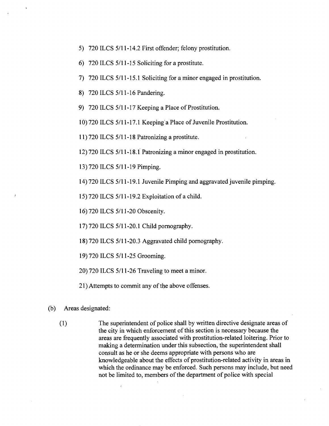- 5) 720 ILCS 5/11-14.2 First offender; felony prostitution.
- 6) 720 ILCS 5/11-15 Soliciting for a prostitute.
- 7) 720 ILCS 5/11-15.1 Soliciting for a minor engaged in prostitution.
- 8) 720 ILCS 5/11-16 Pandering.
- 9) 720 ILCS 5/11-17 Keeping a Place of Prostitution.
- 10) 720 ILCS 5/11-17.1 Keeping a Place of Juvenile Prostitution.
- 11) 720 ILCS 5/11-18 Patronizing a prostitute.
- 12) 720 ILCS 5/11-18.1 Patronizing a minor engaged in prostitution.
- 13) 720 ILCS 5/11-19 Pimping.
- 14) 720 ILCS 5/11-19.1 Juvenile Pimping and aggravated juvenile pimping.
- 15) 720 ILCS 5/11-19.2 Exploitation of a child.
- 16) 720 ILCS 5/11-20 Obscenity.
- 17) 720 ILCS 5/11-20.1 Child pornography.
- 18) 720 ILCS 5/11-20.3 Aggravated child pornography.
- 19) 720 ILCS 5/11-25 Grooming.
- $20$ ) 720 ILCS 5/11-26 Traveling to meet a minor.
- 21) Attempts to commit any of the above offenses.

### (b) Areas designated:

(1) The superintendent of police shall by written directive designate areas of the city in which enforcement of this section is necessary because the areas are frequently associated with prostitution-related loitering. Prior to making a determination under this subsection, the superintendent shall consult as he or she deems appropriate with persons who are knowledgeable about the effects of prostitution-related activity in areas in which the ordinance may be enforced. Such persons may include, but need not be limited to, members of the department of police with special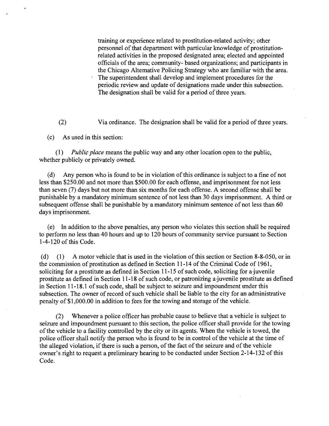training or experience related to prostitution-related activity; other personnel of that department with particular knowledge of prostitutionrelated activities in the proposed designated area; elected and appointed officials of the area; community- based organizations; and participants in the Chicago Altemative Policing Strategy who are familiar with the area. The superintendent shall develop and implement procedures for the periodic review and update of designations made under this subsection. The designation shall be valid for a period of three years.

(2) Via ordinance. The designation shall be valid for a period of three years.

(c) As used in this section:

(1) Public place means the public way and any other location open to the public, whether publicly or privately owned.

(d) Any person who is found to be in violation of this ordinance is subject to a fine of not less than \$250.00 and not more than \$500.00 for each offense, and imprisonment for not less than seven (7) days but not more than six months for each offense. A second offense shall be punishable by a mandatory minimum sentence of not less than 30 days imprisonment. A third or subsequent offense shall be punishable by a mandatory minimum sentence of not less than 60 days imprisonment.

(e) In addition to the above penalties, any person who violates this section shall be required to perform no less than 40 hours and up to 120 hours of community service pursuant to Section 1-4-120 of this Code.

(d) (1) A motor vehicle that is used in the violation of this section or Section 8-8-050, or in the commission of prostitution as defined in Section 11-14 of the Criminal Code of 1961, soliciting for a prostitute as defined in Section 11-15 of such code, soliciting for a juvenile prostitute as defined in Section 11-18 of such code, or patronizing a juvenile prostitute as defined in Section 11-18.1 of such code, shall be subject to seizure and impoundment imder this subsection. The owner of record of such vehicle shall be liable to the city for an administrative penalty of \$1,000.00 in addition to fees for the towing and storage of the vehicle.

(2) Whenever a police officer has probable cause to believe that a vehicle is subject to seizure and impoundment pursuant to this section, the police officer shall provide for the towing of the vehicle to a facility controlled by the city or its agents. When the vehicle is towed, the police officer shall notify the person who is found to be in control of the vehicle at the time of the alleged violation, if there is such a person, of the fact of the seizure and of the vehicle owner's right to request a preliminary hearing to be conducted under Section 2-14-132 of this Code.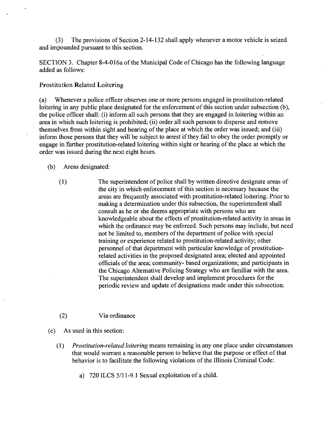(3) The provisions of Section 2-14-132 shall apply whenever a motor vehicle is seized and impounded pursuant to this section.

SECTION 3. Chapter 8-4-016a of the Municipal Code of Chicago has the following language added as follows:

#### **Prostitution Related Loitering**

(a) Whenever a police officer observes one or more persons engaged in prostitution-related loitering in any public place designated for the enforcement of this section under subsection (b), the police officer shall: (i) inform all such persons that they are engaged in loitering within an area in which such loitering is prohibited; (ii) order all such persons to disperse and remove themselves from within sight and hearing of the place at which the order was issued; and (iii) inform those persons that they will be subject to arrest if they fail to obey the order promptly or engage in fiirther prostitution-related loitering within sight or hearing of the place at which the order was issued during the next eight hours.

(b) Areas designated:

(1) The superintendent of police shall by written directive designate areas of the city in which enforcement of this section is necessary because the areas are frequently associated with prostitution-related loitering. Prior to making a determination under this subsection, the superintendent shall consult as he or she deems appropriate with persons who are knowledgeable about the effects of prostitution-related activity in areas in which the ordinance may be enforced. Such persons may include, but need not be limited to, members of the department of police with special training or experience related to prostitution-related activity; other personnel of that department with particular knowledge of prostitutionrelated activities in the proposed designated area; elected and appointed officials of the area; community- based organizations; and participants in the Chicago Altemative Policing Strategy who are familiar with the area. The superintendent shall develop and implement procedures for the periodic review and update of designations made under this subsection.

## (2) Via ordinance

(c) As used in this section:

- (1) Prostitution-related loitering means remaining in any one place under circumstances that would warrant a reasonable person to believe that the purpose or effect of that behavior is to facilitate the following violations of the Illinois Criminal Code:
	- a) 720 ILCS 5/11 -9.1 Sexual exploitation of a child.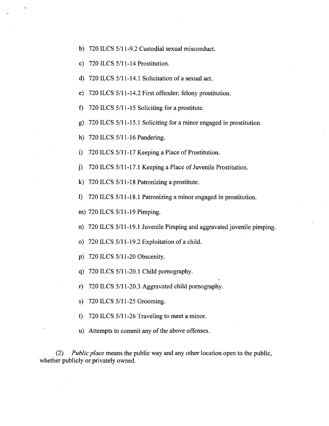- b) 720 ILCS 5/11-9.2 Custodial sexual misconduct.
- c) 720 ILCS 5/1
- d) 720 ILCS 5/11-14.1 Solicitation of a sexual act.
- e) 720 ILCS 5/11-14.2 First offender; felony prostitution.
- f) 720 ILCS 5/11-15 Soliciting for a prostitute.
- g) 720 ILCS 5/11-15.1 Soliciting for a minor engaged in prostitution.
- h) 720 ILCS 5/11-16 Pandering.
- i) 720 ILCS 5/11-17 Keeping a Place of Prostitution.
- j) 720 ILCS 5/11-17.1 Keeping a Place of Juvenile Prostitution.
- k) 720 ILCS 5/11-18 Patronizing a prostitute.
- 1) 720 ILCS 5/11-18.1 Patronizing a minor engaged in prostitution.
- m) 720 ILCS 5/11-19 Pimping.
- n) 720 ILCS 5/11-19.1 Juvenile Pimping and aggravated juvenile pimping.
- o) 720 ILCS  $5/11$ -19.2 Exploitation of a child.
- p) 720 ILCS 5/11-20 Obscenity.
- q) 720 ILCS 5/11-20.1 Child pornography.
- r) 720 ILCS 5/11-20.3 Aggravated child pornography.
- s) 720 ILCS 5/11-25 Grooming.
- t)  $720$  ILCS  $5/11-26$  Traveling to meet a minor.
- u) Attempts to commit any of the above offenses.

(2) Public place means the public way and any other location open to the public, whether publicly or privately owned.